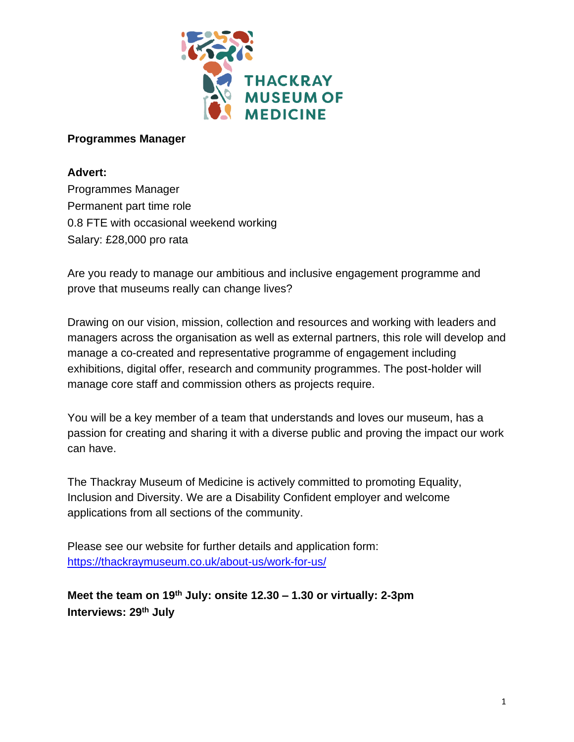

# **Programmes Manager**

# **Advert:**

Programmes Manager Permanent part time role 0.8 FTE with occasional weekend working Salary: £28,000 pro rata

Are you ready to manage our ambitious and inclusive engagement programme and prove that museums really can change lives?

Drawing on our vision, mission, collection and resources and working with leaders and managers across the organisation as well as external partners, this role will develop and manage a co-created and representative programme of engagement including exhibitions, digital offer, research and community programmes. The post-holder will manage core staff and commission others as projects require.

You will be a key member of a team that understands and loves our museum, has a passion for creating and sharing it with a diverse public and proving the impact our work can have.

The Thackray Museum of Medicine is actively committed to promoting Equality, Inclusion and Diversity. We are a Disability Confident employer and welcome applications from all sections of the community.

Please see our website for further details and application form: <https://thackraymuseum.co.uk/about-us/work-for-us/>

**Meet the team on 19 th July: onsite 12.30 – 1.30 or virtually: 2-3pm Interviews: 29th July**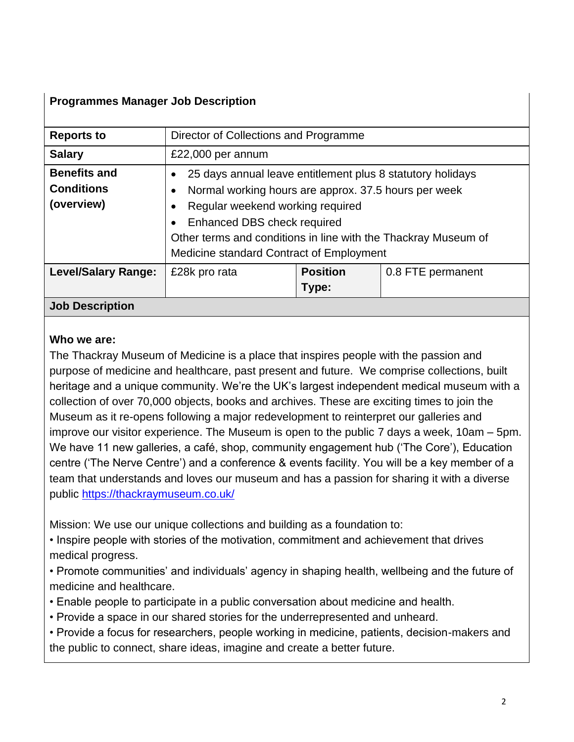# **Programmes Manager Job Description**

| <b>Reports to</b>                                      | Director of Collections and Programme                                                                                                                                                                                                                                                               |                          |                   |  |
|--------------------------------------------------------|-----------------------------------------------------------------------------------------------------------------------------------------------------------------------------------------------------------------------------------------------------------------------------------------------------|--------------------------|-------------------|--|
| <b>Salary</b>                                          | £22,000 per annum                                                                                                                                                                                                                                                                                   |                          |                   |  |
| <b>Benefits and</b><br><b>Conditions</b><br>(overview) | 25 days annual leave entitlement plus 8 statutory holidays<br>Normal working hours are approx. 37.5 hours per week<br>Regular weekend working required<br>Enhanced DBS check required<br>Other terms and conditions in line with the Thackray Museum of<br>Medicine standard Contract of Employment |                          |                   |  |
| <b>Level/Salary Range:</b>                             | £28k pro rata                                                                                                                                                                                                                                                                                       | <b>Position</b><br>Type: | 0.8 FTE permanent |  |
| <b>Job Description</b>                                 |                                                                                                                                                                                                                                                                                                     |                          |                   |  |

### **Who we are:**

The Thackray Museum of Medicine is a place that inspires people with the passion and purpose of medicine and healthcare, past present and future. We comprise collections, built heritage and a unique community. We're the UK's largest independent medical museum with a collection of over 70,000 objects, books and archives. These are exciting times to join the Museum as it re-opens following a major redevelopment to reinterpret our galleries and improve our visitor experience. The Museum is open to the public 7 days a week, 10am – 5pm. We have 11 new galleries, a café, shop, community engagement hub ('The Core'), Education centre ('The Nerve Centre') and a conference & events facility. You will be a key member of a team that understands and loves our museum and has a passion for sharing it with a diverse public [https://thackraymuseum.co.uk/](about:blank)

Mission: We use our unique collections and building as a foundation to:

• Inspire people with stories of the motivation, commitment and achievement that drives medical progress.

• Promote communities' and individuals' agency in shaping health, wellbeing and the future of medicine and healthcare.

- Enable people to participate in a public conversation about medicine and health.
- Provide a space in our shared stories for the underrepresented and unheard.

• Provide a focus for researchers, people working in medicine, patients, decision-makers and the public to connect, share ideas, imagine and create a better future.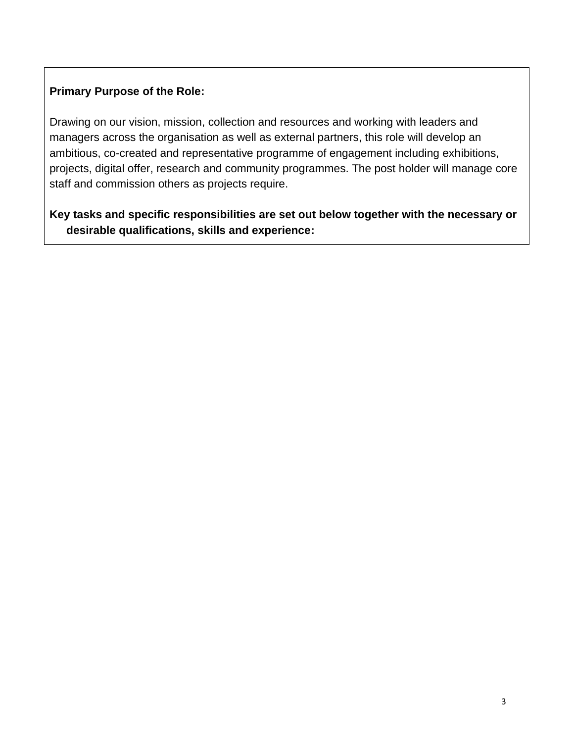# **Primary Purpose of the Role:**

Drawing on our vision, mission, collection and resources and working with leaders and managers across the organisation as well as external partners, this role will develop an ambitious, co-created and representative programme of engagement including exhibitions, projects, digital offer, research and community programmes. The post holder will manage core staff and commission others as projects require.

**Key tasks and specific responsibilities are set out below together with the necessary or desirable qualifications, skills and experience:**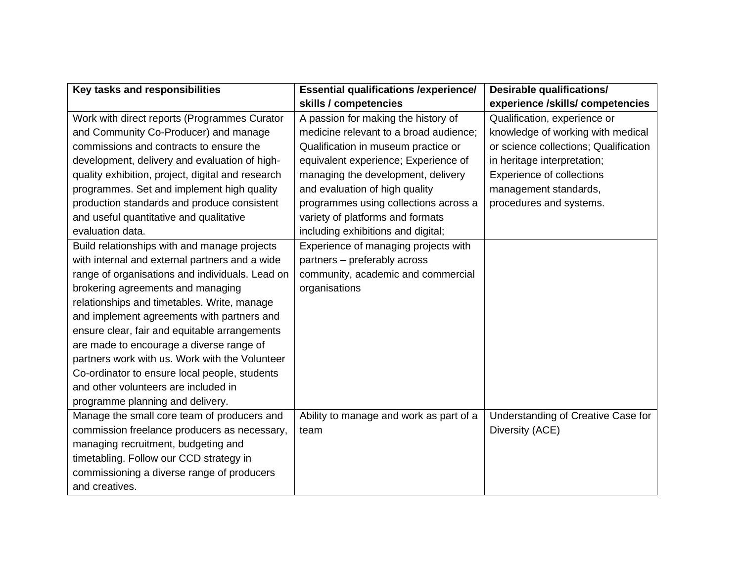| Key tasks and responsibilities                    | <b>Essential qualifications /experience/</b>            | <b>Desirable qualifications/</b>      |
|---------------------------------------------------|---------------------------------------------------------|---------------------------------------|
|                                                   | skills / competencies                                   | experience /skills/ competencies      |
| Work with direct reports (Programmes Curator      | A passion for making the history of                     | Qualification, experience or          |
| and Community Co-Producer) and manage             | medicine relevant to a broad audience;                  | knowledge of working with medical     |
| commissions and contracts to ensure the           | Qualification in museum practice or                     | or science collections; Qualification |
| development, delivery and evaluation of high-     | equivalent experience; Experience of                    | in heritage interpretation;           |
| quality exhibition, project, digital and research | managing the development, delivery                      | <b>Experience of collections</b>      |
| programmes. Set and implement high quality        | and evaluation of high quality<br>management standards, |                                       |
| production standards and produce consistent       | programmes using collections across a                   | procedures and systems.               |
| and useful quantitative and qualitative           | variety of platforms and formats                        |                                       |
| evaluation data.                                  | including exhibitions and digital;                      |                                       |
| Build relationships with and manage projects      | Experience of managing projects with                    |                                       |
| with internal and external partners and a wide    | partners - preferably across                            |                                       |
| range of organisations and individuals. Lead on   | community, academic and commercial                      |                                       |
| brokering agreements and managing                 | organisations                                           |                                       |
| relationships and timetables. Write, manage       |                                                         |                                       |
| and implement agreements with partners and        |                                                         |                                       |
| ensure clear, fair and equitable arrangements     |                                                         |                                       |
| are made to encourage a diverse range of          |                                                         |                                       |
| partners work with us. Work with the Volunteer    |                                                         |                                       |
| Co-ordinator to ensure local people, students     |                                                         |                                       |
| and other volunteers are included in              |                                                         |                                       |
| programme planning and delivery.                  |                                                         |                                       |
| Manage the small core team of producers and       | Ability to manage and work as part of a                 | Understanding of Creative Case for    |
| commission freelance producers as necessary,      | team                                                    | Diversity (ACE)                       |
| managing recruitment, budgeting and               |                                                         |                                       |
| timetabling. Follow our CCD strategy in           |                                                         |                                       |
| commissioning a diverse range of producers        |                                                         |                                       |
| and creatives.                                    |                                                         |                                       |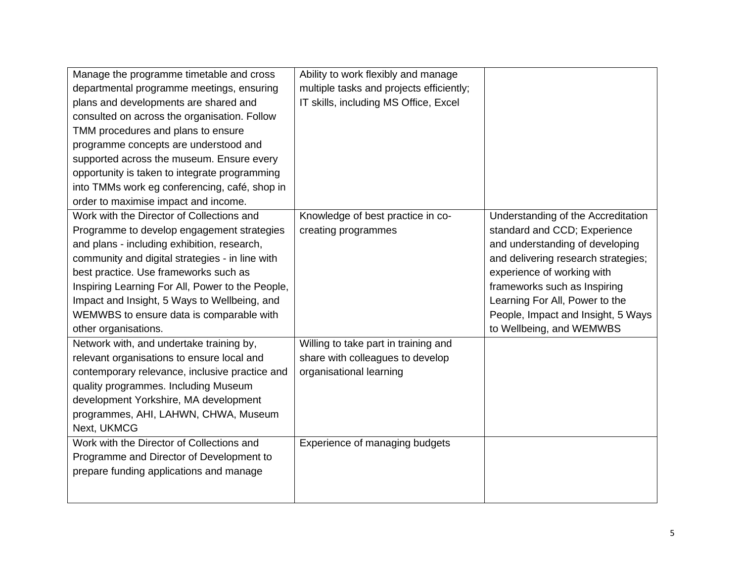| Manage the programme timetable and cross<br>departmental programme meetings, ensuring<br>plans and developments are shared and<br>consulted on across the organisation. Follow<br>TMM procedures and plans to ensure<br>programme concepts are understood and<br>supported across the museum. Ensure every<br>opportunity is taken to integrate programming<br>into TMMs work eg conferencing, café, shop in | Ability to work flexibly and manage<br>multiple tasks and projects efficiently;<br>IT skills, including MS Office, Excel |                                                                                                                                                                                                                                                                                                                |
|--------------------------------------------------------------------------------------------------------------------------------------------------------------------------------------------------------------------------------------------------------------------------------------------------------------------------------------------------------------------------------------------------------------|--------------------------------------------------------------------------------------------------------------------------|----------------------------------------------------------------------------------------------------------------------------------------------------------------------------------------------------------------------------------------------------------------------------------------------------------------|
| order to maximise impact and income.                                                                                                                                                                                                                                                                                                                                                                         |                                                                                                                          |                                                                                                                                                                                                                                                                                                                |
| Work with the Director of Collections and<br>Programme to develop engagement strategies<br>and plans - including exhibition, research,<br>community and digital strategies - in line with<br>best practice. Use frameworks such as<br>Inspiring Learning For All, Power to the People,<br>Impact and Insight, 5 Ways to Wellbeing, and<br>WEMWBS to ensure data is comparable with<br>other organisations.   | Knowledge of best practice in co-<br>creating programmes                                                                 | Understanding of the Accreditation<br>standard and CCD; Experience<br>and understanding of developing<br>and delivering research strategies;<br>experience of working with<br>frameworks such as Inspiring<br>Learning For All, Power to the<br>People, Impact and Insight, 5 Ways<br>to Wellbeing, and WEMWBS |
| Network with, and undertake training by,<br>relevant organisations to ensure local and<br>contemporary relevance, inclusive practice and<br>quality programmes. Including Museum<br>development Yorkshire, MA development<br>programmes, AHI, LAHWN, CHWA, Museum<br>Next, UKMCG                                                                                                                             | Willing to take part in training and<br>share with colleagues to develop<br>organisational learning                      |                                                                                                                                                                                                                                                                                                                |
| Work with the Director of Collections and<br>Programme and Director of Development to<br>prepare funding applications and manage                                                                                                                                                                                                                                                                             | Experience of managing budgets                                                                                           |                                                                                                                                                                                                                                                                                                                |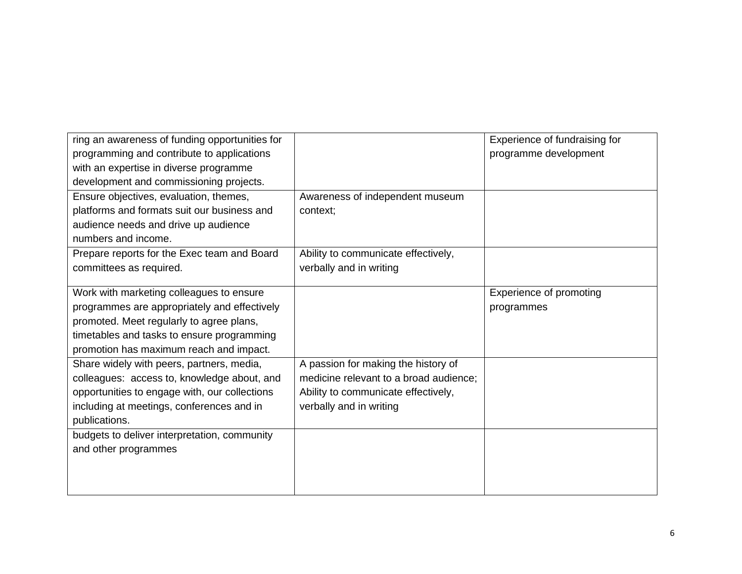| ring an awareness of funding opportunities for |                                        | Experience of fundraising for  |
|------------------------------------------------|----------------------------------------|--------------------------------|
| programming and contribute to applications     |                                        | programme development          |
| with an expertise in diverse programme         |                                        |                                |
| development and commissioning projects.        |                                        |                                |
| Ensure objectives, evaluation, themes,         | Awareness of independent museum        |                                |
| platforms and formats suit our business and    | context;                               |                                |
| audience needs and drive up audience           |                                        |                                |
| numbers and income.                            |                                        |                                |
| Prepare reports for the Exec team and Board    | Ability to communicate effectively,    |                                |
| committees as required.                        | verbally and in writing                |                                |
|                                                |                                        |                                |
| Work with marketing colleagues to ensure       |                                        | <b>Experience of promoting</b> |
| programmes are appropriately and effectively   |                                        | programmes                     |
| promoted. Meet regularly to agree plans,       |                                        |                                |
| timetables and tasks to ensure programming     |                                        |                                |
| promotion has maximum reach and impact.        |                                        |                                |
| Share widely with peers, partners, media,      | A passion for making the history of    |                                |
| colleagues: access to, knowledge about, and    | medicine relevant to a broad audience; |                                |
| opportunities to engage with, our collections  | Ability to communicate effectively,    |                                |
| including at meetings, conferences and in      | verbally and in writing                |                                |
| publications.                                  |                                        |                                |
| budgets to deliver interpretation, community   |                                        |                                |
| and other programmes                           |                                        |                                |
|                                                |                                        |                                |
|                                                |                                        |                                |
|                                                |                                        |                                |